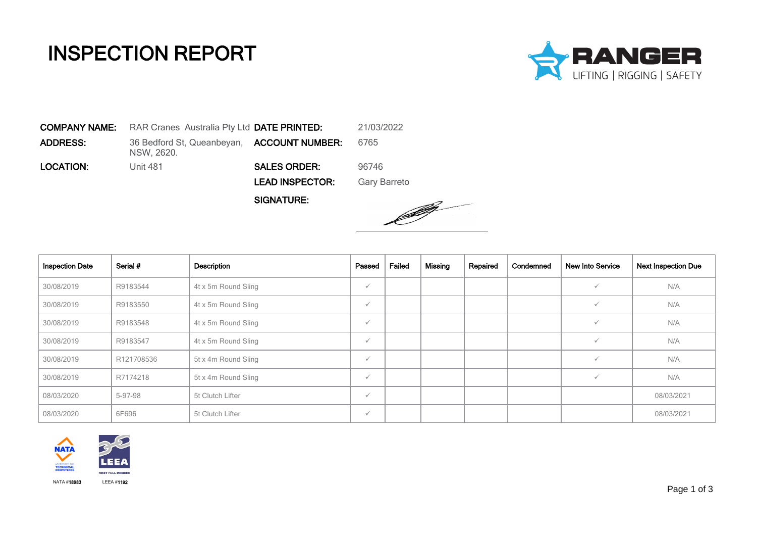## INSPECTION REPORT



COMPANY NAME: RAR Cranes Australia Pty Ltd DATE PRINTED: 21/03/2022 **ADDRESS:** 36 Bedford St, Queanbeyan, **ACCOUNT NUMBER:** 6765 NSW, 2620. **LOCATION:** Unit 481 **SALES ORDER:** 96746 LEAD INSPECTOR: Gary Barreto

SIGNATURE:



| <b>Inspection Date</b> | Serial #   | Description         | Passed       | Failed | Missing | Repaired | Condemned | <b>New Into Service</b> | <b>Next Inspection Due</b> |
|------------------------|------------|---------------------|--------------|--------|---------|----------|-----------|-------------------------|----------------------------|
| 30/08/2019             | R9183544   | 4t x 5m Round Sling | $\checkmark$ |        |         |          |           |                         | N/A                        |
| 30/08/2019             | R9183550   | 4t x 5m Round Sling | $\checkmark$ |        |         |          |           |                         | N/A                        |
| 30/08/2019             | R9183548   | 4t x 5m Round Sling | $\checkmark$ |        |         |          |           |                         | N/A                        |
| 30/08/2019             | R9183547   | 4t x 5m Round Sling | $\checkmark$ |        |         |          |           |                         | N/A                        |
| 30/08/2019             | R121708536 | 5t x 4m Round Sling | $\checkmark$ |        |         |          |           |                         | N/A                        |
| 30/08/2019             | R7174218   | 5t x 4m Round Sling | $\checkmark$ |        |         |          |           |                         | N/A                        |
| 08/03/2020             | 5-97-98    | 5t Clutch Lifter    | $\checkmark$ |        |         |          |           |                         | 08/03/2021                 |
| 08/03/2020             | 6F696      | 5t Clutch Lifter    | $\checkmark$ |        |         |          |           |                         | 08/03/2021                 |

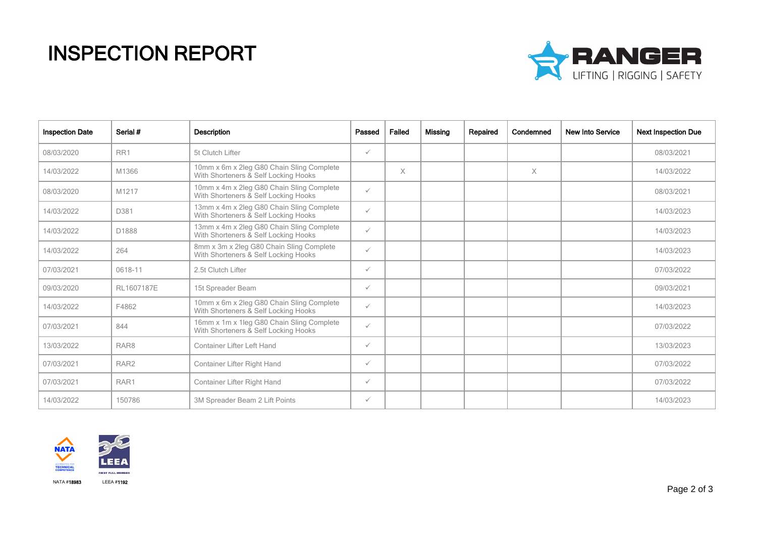## INSPECTION REPORT



| <b>Inspection Date</b> | Serial #         | <b>Description</b>                                                                | Passed       | Failed   | Missing | Repaired | Condemned | <b>New Into Service</b> | <b>Next Inspection Due</b> |
|------------------------|------------------|-----------------------------------------------------------------------------------|--------------|----------|---------|----------|-----------|-------------------------|----------------------------|
| 08/03/2020             | RR1              | 5t Clutch Lifter                                                                  | $\checkmark$ |          |         |          |           |                         | 08/03/2021                 |
| 14/03/2022             | M1366            | 10mm x 6m x 2leg G80 Chain Sling Complete<br>With Shorteners & Self Locking Hooks |              | $\times$ |         |          | $\times$  |                         | 14/03/2022                 |
| 08/03/2020             | M1217            | 10mm x 4m x 2leg G80 Chain Sling Complete<br>With Shorteners & Self Locking Hooks | $\checkmark$ |          |         |          |           |                         | 08/03/2021                 |
| 14/03/2022             | D381             | 13mm x 4m x 2leg G80 Chain Sling Complete<br>With Shorteners & Self Locking Hooks | $\checkmark$ |          |         |          |           |                         | 14/03/2023                 |
| 14/03/2022             | D1888            | 13mm x 4m x 2leg G80 Chain Sling Complete<br>With Shorteners & Self Locking Hooks | $\checkmark$ |          |         |          |           |                         | 14/03/2023                 |
| 14/03/2022             | 264              | 8mm x 3m x 2leg G80 Chain Sling Complete<br>With Shorteners & Self Locking Hooks  | $\checkmark$ |          |         |          |           |                         | 14/03/2023                 |
| 07/03/2021             | 0618-11          | 2.5t Clutch Lifter                                                                | $\checkmark$ |          |         |          |           |                         | 07/03/2022                 |
| 09/03/2020             | RL1607187E       | 15t Spreader Beam                                                                 | $\checkmark$ |          |         |          |           |                         | 09/03/2021                 |
| 14/03/2022             | F4862            | 10mm x 6m x 2leg G80 Chain Sling Complete<br>With Shorteners & Self Locking Hooks | $\checkmark$ |          |         |          |           |                         | 14/03/2023                 |
| 07/03/2021             | 844              | 16mm x 1m x 1leg G80 Chain Sling Complete<br>With Shorteners & Self Locking Hooks | $\checkmark$ |          |         |          |           |                         | 07/03/2022                 |
| 13/03/2022             | RAR8             | <b>Container Lifter Left Hand</b>                                                 | $\checkmark$ |          |         |          |           |                         | 13/03/2023                 |
| 07/03/2021             | RAR <sub>2</sub> | Container Lifter Right Hand                                                       | $\checkmark$ |          |         |          |           |                         | 07/03/2022                 |
| 07/03/2021             | RAR1             | Container Lifter Right Hand                                                       | $\checkmark$ |          |         |          |           |                         | 07/03/2022                 |
| 14/03/2022             | 150786           | 3M Spreader Beam 2 Lift Points                                                    | $\checkmark$ |          |         |          |           |                         | 14/03/2023                 |